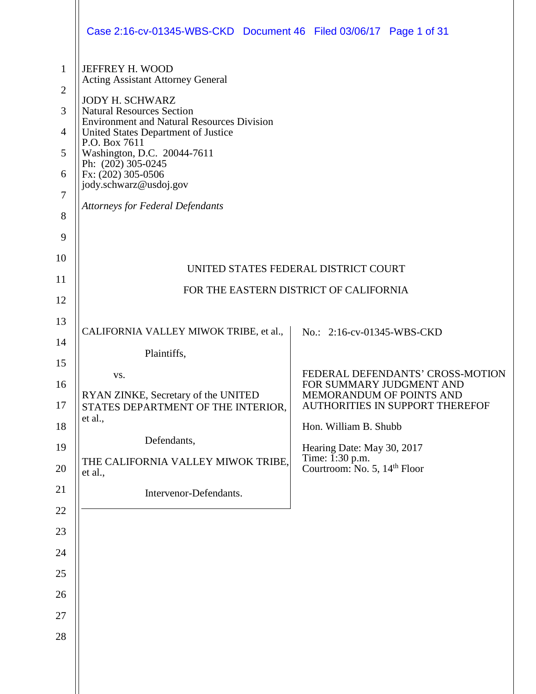|                                                                                  | Case 2:16-cv-01345-WBS-CKD Document 46 Filed 03/06/17 Page 1 of 31                                                                                                                                                                                                                                                                                                                       |                                                                                                                                                                                                                                                                            |
|----------------------------------------------------------------------------------|------------------------------------------------------------------------------------------------------------------------------------------------------------------------------------------------------------------------------------------------------------------------------------------------------------------------------------------------------------------------------------------|----------------------------------------------------------------------------------------------------------------------------------------------------------------------------------------------------------------------------------------------------------------------------|
| $\mathbf{1}$<br>$\overline{2}$<br>3<br>$\overline{4}$<br>5<br>6<br>7<br>8<br>9   | JEFFREY H. WOOD<br><b>Acting Assistant Attorney General</b><br><b>JODY H. SCHWARZ</b><br><b>Natural Resources Section</b><br><b>Environment and Natural Resources Division</b><br>United States Department of Justice<br>P.O. Box 7611<br>Washington, D.C. 20044-7611<br>Ph: $(202)$ 305-0245<br>Fx: (202) 305-0506<br>jody.schwarz@usdoj.gov<br><b>Attorneys for Federal Defendants</b> |                                                                                                                                                                                                                                                                            |
| 10<br>11<br>12                                                                   |                                                                                                                                                                                                                                                                                                                                                                                          | UNITED STATES FEDERAL DISTRICT COURT<br>FOR THE EASTERN DISTRICT OF CALIFORNIA                                                                                                                                                                                             |
| 13<br>14<br>15<br>16<br>17<br>18<br>19<br>20<br>21<br>22<br>23<br>24<br>25<br>26 | CALIFORNIA VALLEY MIWOK TRIBE, et al.,<br>Plaintiffs,<br>VS.<br>RYAN ZINKE, Secretary of the UNITED<br>STATES DEPARTMENT OF THE INTERIOR,<br>et al.,<br>Defendants,<br>THE CALIFORNIA VALLEY MIWOK TRIBE,<br>et al.,<br>Intervenor-Defendants.                                                                                                                                           | No.: 2:16-cv-01345-WBS-CKD<br>FEDERAL DEFENDANTS' CROSS-MOTION<br>FOR SUMMARY JUDGMENT AND<br>MEMORANDUM OF POINTS AND<br><b>AUTHORITIES IN SUPPORT THEREFOF</b><br>Hon. William B. Shubb<br>Hearing Date: May 30, 2017<br>Time: 1:30 p.m.<br>Courtroom: No. 5, 14th Floor |
| 27<br>28                                                                         |                                                                                                                                                                                                                                                                                                                                                                                          |                                                                                                                                                                                                                                                                            |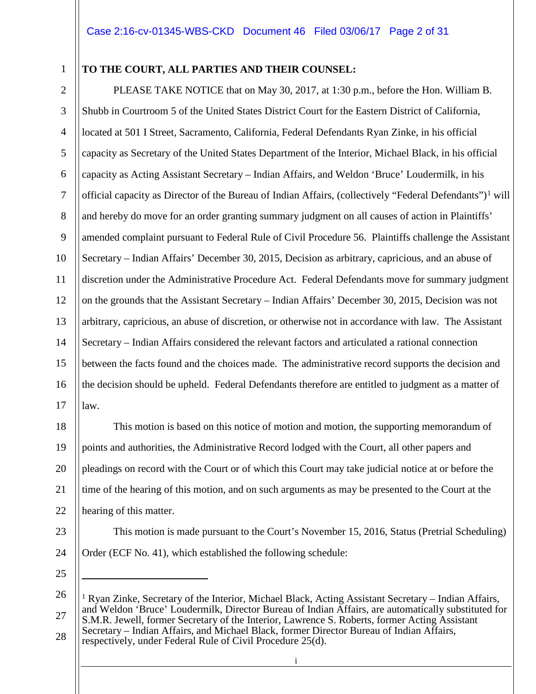#### 1

#### **TO THE COURT, ALL PARTIES AND THEIR COUNSEL:**

2 3 4 5 6 7 8 9 10 11 12 13 14 15 16 17 PLEASE TAKE NOTICE that on May 30, 2017, at 1:30 p.m., before the Hon. William B. Shubb in Courtroom 5 of the United States District Court for the Eastern District of California, located at 501 I Street, Sacramento, California, Federal Defendants Ryan Zinke, in his official capacity as Secretary of the United States Department of the Interior, Michael Black, in his official capacity as Acting Assistant Secretary – Indian Affairs, and Weldon 'Bruce' Loudermilk, in his official capacity as Director of the Bureau of Indian Affairs, (collectively "Federal Defendants")<sup>[1](#page-1-0)</sup> will and hereby do move for an order granting summary judgment on all causes of action in Plaintiffs' amended complaint pursuant to Federal Rule of Civil Procedure 56. Plaintiffs challenge the Assistant Secretary – Indian Affairs' December 30, 2015, Decision as arbitrary, capricious, and an abuse of discretion under the Administrative Procedure Act. Federal Defendants move for summary judgment on the grounds that the Assistant Secretary – Indian Affairs' December 30, 2015, Decision was not arbitrary, capricious, an abuse of discretion, or otherwise not in accordance with law. The Assistant Secretary – Indian Affairs considered the relevant factors and articulated a rational connection between the facts found and the choices made. The administrative record supports the decision and the decision should be upheld. Federal Defendants therefore are entitled to judgment as a matter of law.

18 19 20 21 22 This motion is based on this notice of motion and motion, the supporting memorandum of points and authorities, the Administrative Record lodged with the Court, all other papers and pleadings on record with the Court or of which this Court may take judicial notice at or before the time of the hearing of this motion, and on such arguments as may be presented to the Court at the hearing of this matter.

Order (ECF No. 41), which established the following schedule:

23

24 25

 $\overline{a}$ 

This motion is made pursuant to the Court's November 15, 2016, Status (Pretrial Scheduling)

<span id="page-1-0"></span><sup>26</sup> 27 28 <sup>1</sup> Ryan Zinke, Secretary of the Interior, Michael Black, Acting Assistant Secretary – Indian Affairs, and Weldon 'Bruce' Loudermilk, Director Bureau of Indian Affairs, are automatically substituted for S.M.R. Jewell, former Secretary of the Interior, Lawrence S. Roberts, former Acting Assistant Secretary – Indian Affairs, and Michael Black, former Director Bureau of Indian Affairs, respectively, under Federal Rule of Civil Procedure 25(d).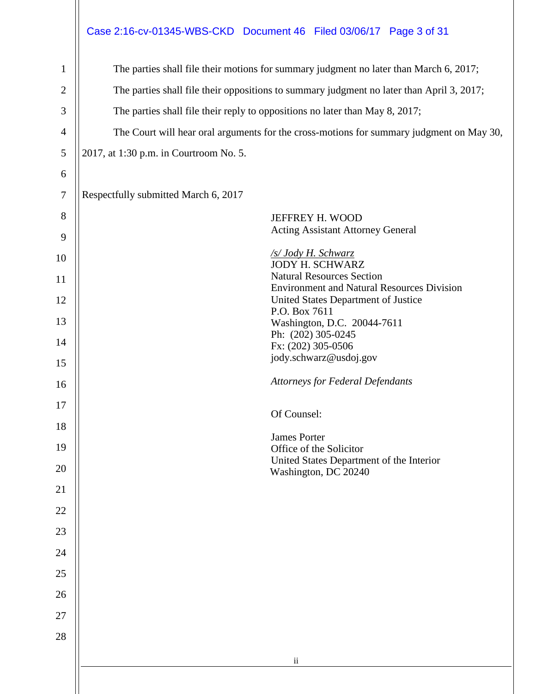## Case 2:16-cv-01345-WBS-CKD Document 46 Filed 03/06/17 Page 3 of 31

| $\mathbf{1}$   | The parties shall file their motions for summary judgment no later than March 6, 2017;    |  |  |  |
|----------------|-------------------------------------------------------------------------------------------|--|--|--|
| $\overline{2}$ | The parties shall file their oppositions to summary judgment no later than April 3, 2017; |  |  |  |
| $\mathfrak{Z}$ | The parties shall file their reply to oppositions no later than May 8, 2017;              |  |  |  |
| $\overline{4}$ | The Court will hear oral arguments for the cross-motions for summary judgment on May 30,  |  |  |  |
| $\mathfrak{S}$ | 2017, at 1:30 p.m. in Courtroom No. 5.                                                    |  |  |  |
| 6              |                                                                                           |  |  |  |
| $\tau$         | Respectfully submitted March 6, 2017                                                      |  |  |  |
| $8\,$<br>9     | JEFFREY H. WOOD<br><b>Acting Assistant Attorney General</b>                               |  |  |  |
| 10             | /s/ Jody H. Schwarz<br><b>JODY H. SCHWARZ</b>                                             |  |  |  |
| 11             | <b>Natural Resources Section</b><br><b>Environment and Natural Resources Division</b>     |  |  |  |
| 12             | United States Department of Justice                                                       |  |  |  |
| 13             | P.O. Box 7611<br>Washington, D.C. 20044-7611                                              |  |  |  |
| 14             | Ph: (202) 305-0245<br>Fx: (202) 305-0506                                                  |  |  |  |
| 15             | jody.schwarz@usdoj.gov                                                                    |  |  |  |
| 16             | <b>Attorneys for Federal Defendants</b>                                                   |  |  |  |
| 17             | Of Counsel:                                                                               |  |  |  |
| 18             | <b>James Porter</b>                                                                       |  |  |  |
| 19             | Office of the Solicitor                                                                   |  |  |  |
| 20             | United States Department of the Interior<br>Washington, DC 20240                          |  |  |  |
| 21             |                                                                                           |  |  |  |
| 22             |                                                                                           |  |  |  |
| 23             |                                                                                           |  |  |  |
| 24             |                                                                                           |  |  |  |
| 25             |                                                                                           |  |  |  |
| 26             |                                                                                           |  |  |  |
| 27             |                                                                                           |  |  |  |
| 28             |                                                                                           |  |  |  |
|                | $\ddot{\rm n}$                                                                            |  |  |  |
|                |                                                                                           |  |  |  |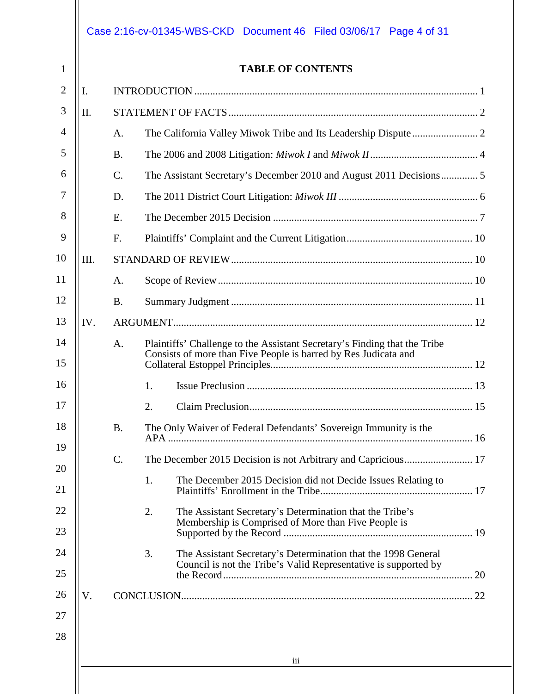### Case 2:16-cv-01345-WBS-CKD Document 46 Filed 03/06/17 Page 4 of 31

1

**TABLE OF CONTENTS**

| I.   |                 |                                                                           |                                                                                                                                                                                           |  |  |
|------|-----------------|---------------------------------------------------------------------------|-------------------------------------------------------------------------------------------------------------------------------------------------------------------------------------------|--|--|
| II.  |                 |                                                                           |                                                                                                                                                                                           |  |  |
|      | A.              |                                                                           |                                                                                                                                                                                           |  |  |
|      | <b>B.</b>       |                                                                           |                                                                                                                                                                                           |  |  |
|      | $\mathcal{C}$ . |                                                                           |                                                                                                                                                                                           |  |  |
|      | D.              |                                                                           |                                                                                                                                                                                           |  |  |
|      | E.              |                                                                           |                                                                                                                                                                                           |  |  |
|      | F <sub>1</sub>  |                                                                           |                                                                                                                                                                                           |  |  |
| III. |                 |                                                                           |                                                                                                                                                                                           |  |  |
|      | A.              |                                                                           |                                                                                                                                                                                           |  |  |
|      | <b>B.</b>       |                                                                           |                                                                                                                                                                                           |  |  |
| IV.  |                 |                                                                           |                                                                                                                                                                                           |  |  |
|      | A.              | Plaintiffs' Challenge to the Assistant Secretary's Finding that the Tribe |                                                                                                                                                                                           |  |  |
|      |                 |                                                                           |                                                                                                                                                                                           |  |  |
|      |                 | 1.                                                                        |                                                                                                                                                                                           |  |  |
|      |                 | 2.                                                                        |                                                                                                                                                                                           |  |  |
|      | <b>B.</b>       | The Only Waiver of Federal Defendants' Sovereign Immunity is the          |                                                                                                                                                                                           |  |  |
|      | $\mathcal{C}$ . |                                                                           |                                                                                                                                                                                           |  |  |
|      |                 | 1.<br>The December 2015 Decision did not Decide Issues Relating to        |                                                                                                                                                                                           |  |  |
|      |                 | 2.<br>The Assistant Secretary's Determination that the Tribe's            |                                                                                                                                                                                           |  |  |
|      |                 |                                                                           |                                                                                                                                                                                           |  |  |
|      |                 | 3.<br>The Assistant Secretary's Determination that the 1998 General       |                                                                                                                                                                                           |  |  |
|      |                 |                                                                           |                                                                                                                                                                                           |  |  |
| V.   |                 |                                                                           |                                                                                                                                                                                           |  |  |
|      |                 |                                                                           |                                                                                                                                                                                           |  |  |
|      |                 |                                                                           |                                                                                                                                                                                           |  |  |
|      | iii             |                                                                           |                                                                                                                                                                                           |  |  |
|      |                 |                                                                           | Consists of more than Five People is barred by Res Judicata and<br>Membership is Comprised of More than Five People is<br>Council is not the Tribe's Valid Representative is supported by |  |  |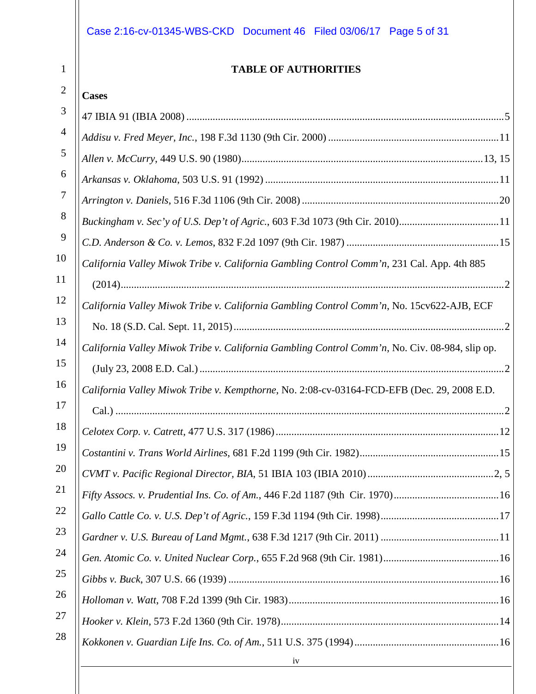| <b>TABLE OF AUTHORITIES</b>                                                                    |
|------------------------------------------------------------------------------------------------|
| <b>Cases</b>                                                                                   |
|                                                                                                |
|                                                                                                |
|                                                                                                |
|                                                                                                |
|                                                                                                |
|                                                                                                |
|                                                                                                |
| California Valley Miwok Tribe v. California Gambling Control Comm'n, 231 Cal. App. 4th 885     |
|                                                                                                |
| California Valley Miwok Tribe v. California Gambling Control Comm'n, No. 15cv622-AJB, ECF      |
|                                                                                                |
| California Valley Miwok Tribe v. California Gambling Control Comm'n, No. Civ. 08-984, slip op. |
|                                                                                                |
| California Valley Miwok Tribe v. Kempthorne, No. 2:08-cv-03164-FCD-EFB (Dec. 29, 2008 E.D.     |
|                                                                                                |
|                                                                                                |
|                                                                                                |
|                                                                                                |
| Fifty Assocs. v. Prudential Ins. Co. of Am., 446 F.2d 1187 (9th Cir. 1970)16                   |
|                                                                                                |
|                                                                                                |
|                                                                                                |
|                                                                                                |
|                                                                                                |
|                                                                                                |
|                                                                                                |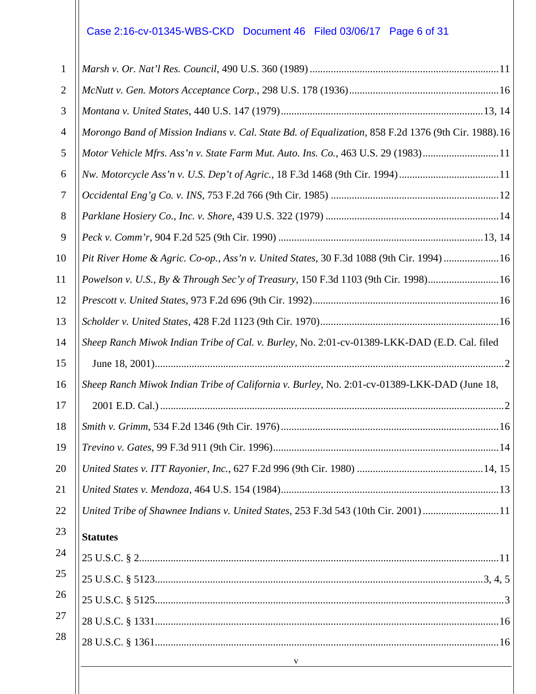# Case 2:16-cv-01345-WBS-CKD Document 46 Filed 03/06/17 Page 6 of 31

| 1  |                                                                                                     |
|----|-----------------------------------------------------------------------------------------------------|
| 2  |                                                                                                     |
| 3  |                                                                                                     |
| 4  | Morongo Band of Mission Indians v. Cal. State Bd. of Equalization, 858 F.2d 1376 (9th Cir. 1988).16 |
| 5  | Motor Vehicle Mfrs. Ass'n v. State Farm Mut. Auto. Ins. Co., 463 U.S. 29 (1983)11                   |
| 6  | Nw. Motorcycle Ass'n v. U.S. Dep't of Agric., 18 F.3d 1468 (9th Cir. 1994)11                        |
| 7  |                                                                                                     |
| 8  |                                                                                                     |
| 9  |                                                                                                     |
| 10 | Pit River Home & Agric. Co-op., Ass'n v. United States, 30 F.3d 1088 (9th Cir. 1994) 16             |
| 11 | Powelson v. U.S., By & Through Sec'y of Treasury, 150 F.3d 1103 (9th Cir. 1998)16                   |
| 12 |                                                                                                     |
| 13 |                                                                                                     |
| 14 | Sheep Ranch Miwok Indian Tribe of Cal. v. Burley, No. 2:01-cv-01389-LKK-DAD (E.D. Cal. filed        |
| 15 |                                                                                                     |
| 16 | Sheep Ranch Miwok Indian Tribe of California v. Burley, No. 2:01-cv-01389-LKK-DAD (June 18,         |
| 17 |                                                                                                     |
| 18 |                                                                                                     |
| 19 | .14                                                                                                 |
| 20 |                                                                                                     |
| 21 |                                                                                                     |
| 22 | United Tribe of Shawnee Indians v. United States, 253 F.3d 543 (10th Cir. 2001) 11                  |
| 23 | <b>Statutes</b>                                                                                     |
| 24 |                                                                                                     |
| 25 |                                                                                                     |
| 26 |                                                                                                     |
| 27 |                                                                                                     |
| 28 |                                                                                                     |
|    | $\overline{\phantom{a}}$<br><u> 1980 - Johann Barbara, martxa amerikan personal (h. 1980).</u>      |
|    |                                                                                                     |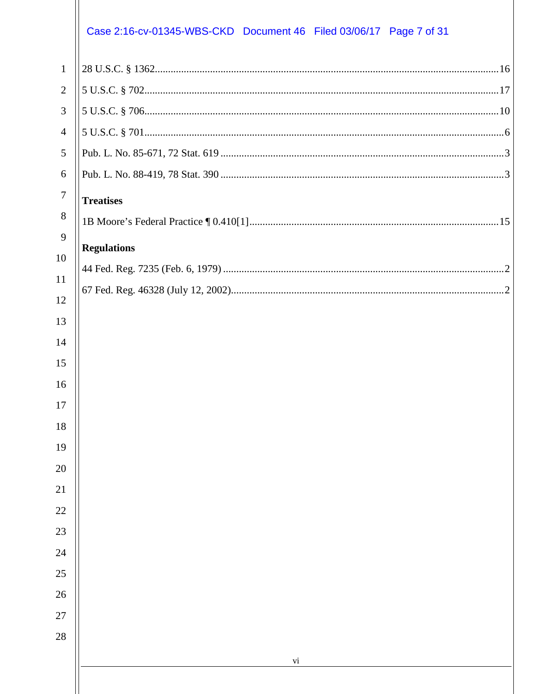## Case 2:16-cv-01345-WBS-CKD Document 46 Filed 03/06/17 Page 7 of 31

| $\mathbf{1}$     |                    |  |
|------------------|--------------------|--|
| $\overline{2}$   |                    |  |
| 3                |                    |  |
| $\overline{4}$   |                    |  |
| 5                |                    |  |
| 6                |                    |  |
| $\boldsymbol{7}$ | <b>Treatises</b>   |  |
| 8                |                    |  |
| 9                | <b>Regulations</b> |  |
| 10               |                    |  |
| 11               |                    |  |
| 12               |                    |  |
| 13               |                    |  |
| 14               |                    |  |
| 15               |                    |  |
| 16               |                    |  |
| 17               |                    |  |
| 18<br>19         |                    |  |
| 20               |                    |  |
| 21               |                    |  |
| 22               |                    |  |
| 23               |                    |  |
| 24               |                    |  |
| 25               |                    |  |
| 26               |                    |  |
| 27               |                    |  |
| 28               |                    |  |
|                  | vi                 |  |
|                  |                    |  |
|                  |                    |  |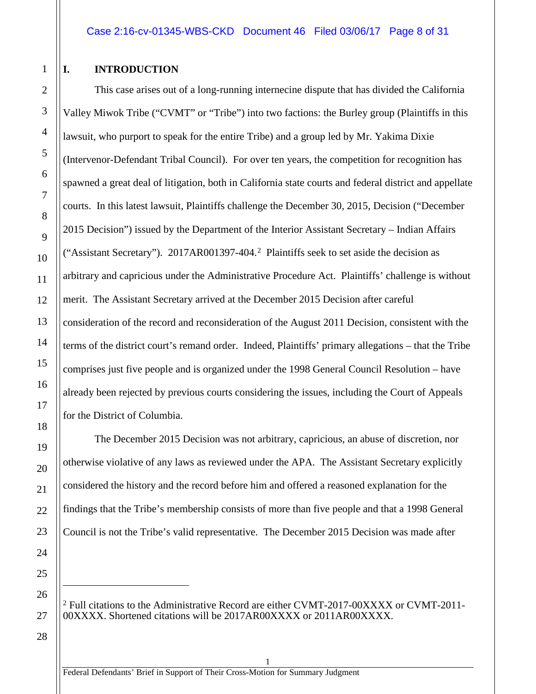#### <span id="page-7-0"></span>**I. INTRODUCTION**

1

2

3

4

5

6

7

8

9

10

11

12

13

14

15

16

17

18

19

20

21

22

23

24

25

<span id="page-7-1"></span>26

27

28

This case arises out of a long-running internecine dispute that has divided the California Valley Miwok Tribe ("CVMT" or "Tribe") into two factions: the Burley group (Plaintiffs in this lawsuit, who purport to speak for the entire Tribe) and a group led by Mr. Yakima Dixie (Intervenor-Defendant Tribal Council). For over ten years, the competition for recognition has spawned a great deal of litigation, both in California state courts and federal district and appellate courts. In this latest lawsuit, Plaintiffs challenge the December 30, 2015, Decision ("December 2015 Decision") issued by the Department of the Interior Assistant Secretary – Indian Affairs ("Assistant Secretary"). 2017AR001397-404. [2](#page-7-1) Plaintiffs seek to set aside the decision as arbitrary and capricious under the Administrative Procedure Act. Plaintiffs' challenge is without merit. The Assistant Secretary arrived at the December 2015 Decision after careful consideration of the record and reconsideration of the August 2011 Decision, consistent with the terms of the district court's remand order. Indeed, Plaintiffs' primary allegations – that the Tribe comprises just five people and is organized under the 1998 General Council Resolution – have already been rejected by previous courts considering the issues, including the Court of Appeals for the District of Columbia.

The December 2015 Decision was not arbitrary, capricious, an abuse of discretion, nor otherwise violative of any laws as reviewed under the APA. The Assistant Secretary explicitly considered the history and the record before him and offered a reasoned explanation for the findings that the Tribe's membership consists of more than five people and that a 1998 General Council is not the Tribe's valid representative. The December 2015 Decision was made after

 $^{2}$  Full citations to the Administrative Record are either CVMT-2017-00XXXX or CVMT-2011-00XXXX. Shortened citations will be 2017AR00XXXX or 2011AR00XXXX.

 $\overline{a}$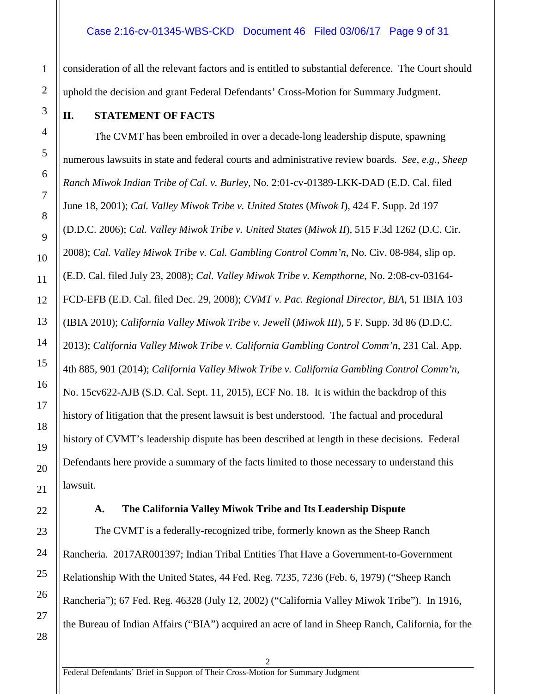#### Case 2:16-cv-01345-WBS-CKD Document 46 Filed 03/06/17 Page 9 of 31

consideration of all the relevant factors and is entitled to substantial deference. The Court should uphold the decision and grant Federal Defendants' Cross-Motion for Summary Judgment.

#### <span id="page-8-0"></span>**II. STATEMENT OF FACTS**

The CVMT has been embroiled in over a decade-long leadership dispute, spawning numerous lawsuits in state and federal courts and administrative review boards. *See*, *e.g.*, *Sheep Ranch Miwok Indian Tribe of Cal. v. Burley*, No. 2:01-cv-01389-LKK-DAD (E.D. Cal. filed June 18, 2001); *Cal. Valley Miwok Tribe v. United States* (*Miwok I*), 424 F. Supp. 2d 197 (D.D.C. 2006); *Cal. Valley Miwok Tribe v. United States* (*Miwok II*), 515 F.3d 1262 (D.C. Cir. 2008); *Cal. Valley Miwok Tribe v. Cal. Gambling Control Comm'n*, No. Civ. 08-984, slip op. (E.D. Cal. filed July 23, 2008); *Cal. Valley Miwok Tribe v. Kempthorne*, No. 2:08-cv-03164- FCD-EFB (E.D. Cal. filed Dec. 29, 2008); *CVMT v. Pac. Regional Director, BIA*, 51 IBIA 103 (IBIA 2010); *California Valley Miwok Tribe v. Jewell* (*Miwok III*), 5 F. Supp. 3d 86 (D.D.C. 2013); *California Valley Miwok Tribe v. California Gambling Control Comm'n*, 231 Cal. App. 4th 885, 901 (2014); *California Valley Miwok Tribe v. California Gambling Control Comm'n*, No. 15cv622-AJB (S.D. Cal. Sept. 11, 2015), ECF No. 18. It is within the backdrop of this history of litigation that the present lawsuit is best understood. The factual and procedural history of CVMT's leadership dispute has been described at length in these decisions. Federal Defendants here provide a summary of the facts limited to those necessary to understand this lawsuit.

#### **A. The California Valley Miwok Tribe and Its Leadership Dispute**

<span id="page-8-1"></span>The CVMT is a federally-recognized tribe, formerly known as the Sheep Ranch Rancheria. 2017AR001397; Indian Tribal Entities That Have a Government-to-Government Relationship With the United States, 44 Fed. Reg. 7235, 7236 (Feb. 6, 1979) ("Sheep Ranch Rancheria"); 67 Fed. Reg. 46328 (July 12, 2002) ("California Valley Miwok Tribe"). In 1916, the Bureau of Indian Affairs ("BIA") acquired an acre of land in Sheep Ranch, California, for the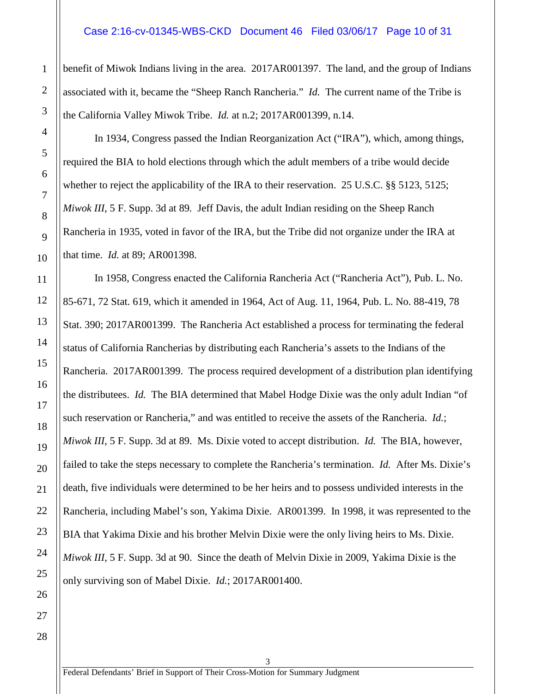#### Case 2:16-cv-01345-WBS-CKD Document 46 Filed 03/06/17 Page 10 of 31

benefit of Miwok Indians living in the area. 2017AR001397. The land, and the group of Indians associated with it, became the "Sheep Ranch Rancheria." *Id.* The current name of the Tribe is the California Valley Miwok Tribe. *Id.* at n.2; 2017AR001399, n.14.

In 1934, Congress passed the Indian Reorganization Act ("IRA"), which, among things, required the BIA to hold elections through which the adult members of a tribe would decide whether to reject the applicability of the IRA to their reservation. 25 U.S.C. §§ 5123, 5125; *Miwok III*, 5 F. Supp. 3d at 89*.* Jeff Davis, the adult Indian residing on the Sheep Ranch Rancheria in 1935, voted in favor of the IRA, but the Tribe did not organize under the IRA at that time. *Id.* at 89; AR001398.

In 1958, Congress enacted the California Rancheria Act ("Rancheria Act"), Pub. L. No. 85-671, 72 Stat. 619, which it amended in 1964, Act of Aug. 11, 1964, Pub. L. No. 88-419, 78 Stat. 390; 2017AR001399. The Rancheria Act established a process for terminating the federal status of California Rancherias by distributing each Rancheria's assets to the Indians of the Rancheria. 2017AR001399. The process required development of a distribution plan identifying the distributees. *Id.* The BIA determined that Mabel Hodge Dixie was the only adult Indian "of such reservation or Rancheria," and was entitled to receive the assets of the Rancheria. *Id.*; *Miwok III*, 5 F. Supp. 3d at 89. Ms. Dixie voted to accept distribution. *Id.* The BIA, however, failed to take the steps necessary to complete the Rancheria's termination. *Id.* After Ms. Dixie's death, five individuals were determined to be her heirs and to possess undivided interests in the Rancheria, including Mabel's son, Yakima Dixie. AR001399. In 1998, it was represented to the BIA that Yakima Dixie and his brother Melvin Dixie were the only living heirs to Ms. Dixie. *Miwok III*, 5 F. Supp. 3d at 90. Since the death of Melvin Dixie in 2009, Yakima Dixie is the only surviving son of Mabel Dixie. *Id.*; 2017AR001400.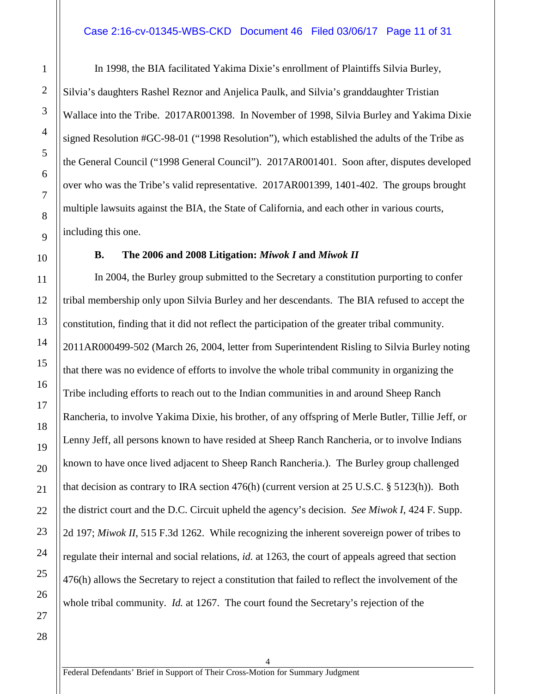#### Case 2:16-cv-01345-WBS-CKD Document 46 Filed 03/06/17 Page 11 of 31

In 1998, the BIA facilitated Yakima Dixie's enrollment of Plaintiffs Silvia Burley, Silvia's daughters Rashel Reznor and Anjelica Paulk, and Silvia's granddaughter Tristian Wallace into the Tribe. 2017AR001398. In November of 1998, Silvia Burley and Yakima Dixie signed Resolution #GC-98-01 ("1998 Resolution"), which established the adults of the Tribe as the General Council ("1998 General Council"). 2017AR001401. Soon after, disputes developed over who was the Tribe's valid representative. 2017AR001399, 1401-402. The groups brought multiple lawsuits against the BIA, the State of California, and each other in various courts, including this one.

#### **B. The 2006 and 2008 Litigation:** *Miwok I* **and** *Miwok II*

<span id="page-10-0"></span>In 2004, the Burley group submitted to the Secretary a constitution purporting to confer tribal membership only upon Silvia Burley and her descendants. The BIA refused to accept the constitution, finding that it did not reflect the participation of the greater tribal community. 2011AR000499-502 (March 26, 2004, letter from Superintendent Risling to Silvia Burley noting that there was no evidence of efforts to involve the whole tribal community in organizing the Tribe including efforts to reach out to the Indian communities in and around Sheep Ranch Rancheria, to involve Yakima Dixie, his brother, of any offspring of Merle Butler, Tillie Jeff, or Lenny Jeff, all persons known to have resided at Sheep Ranch Rancheria, or to involve Indians known to have once lived adjacent to Sheep Ranch Rancheria.). The Burley group challenged that decision as contrary to IRA section 476(h) (current version at 25 U.S.C. § 5123(h)). Both the district court and the D.C. Circuit upheld the agency's decision. *See Miwok I*, 424 F. Supp. 2d 197; *Miwok II*, 515 F.3d 1262. While recognizing the inherent sovereign power of tribes to regulate their internal and social relations, *id.* at 1263, the court of appeals agreed that section 476(h) allows the Secretary to reject a constitution that failed to reflect the involvement of the whole tribal community. *Id.* at 1267. The court found the Secretary's rejection of the

4

1

2

3

4

5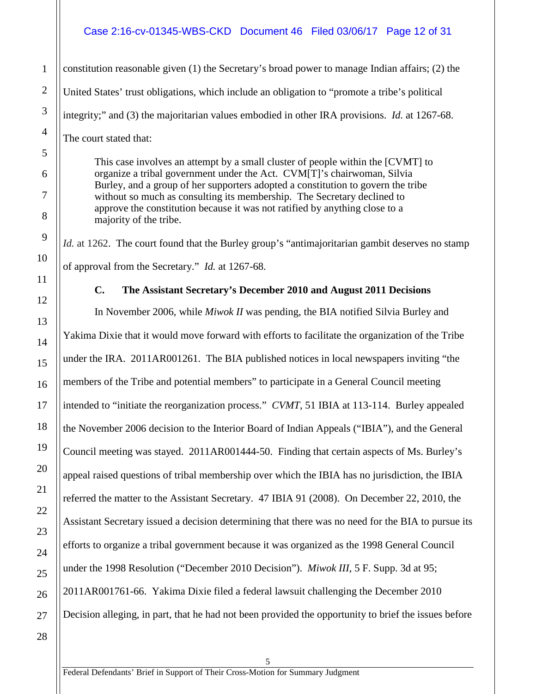#### Case 2:16-cv-01345-WBS-CKD Document 46 Filed 03/06/17 Page 12 of 31

constitution reasonable given (1) the Secretary's broad power to manage Indian affairs; (2) the United States' trust obligations, which include an obligation to "promote a tribe's political integrity;" and (3) the majoritarian values embodied in other IRA provisions. *Id.* at 1267-68. The court stated that:

This case involves an attempt by a small cluster of people within the [CVMT] to organize a tribal government under the Act. CVM[T]'s chairwoman, Silvia Burley, and a group of her supporters adopted a constitution to govern the tribe without so much as consulting its membership. The Secretary declined to approve the constitution because it was not ratified by anything close to a majority of the tribe.

*Id.* at 1262. The court found that the Burley group's "antimajoritarian gambit deserves no stamp of approval from the Secretary." *Id.* at 1267-68.

#### **C. The Assistant Secretary's December 2010 and August 2011 Decisions**

<span id="page-11-0"></span>In November 2006, while *Miwok II* was pending, the BIA notified Silvia Burley and Yakima Dixie that it would move forward with efforts to facilitate the organization of the Tribe under the IRA. 2011AR001261. The BIA published notices in local newspapers inviting "the members of the Tribe and potential members" to participate in a General Council meeting intended to "initiate the reorganization process." *CVMT*, 51 IBIA at 113-114. Burley appealed the November 2006 decision to the Interior Board of Indian Appeals ("IBIA"), and the General Council meeting was stayed. 2011AR001444-50. Finding that certain aspects of Ms. Burley's appeal raised questions of tribal membership over which the IBIA has no jurisdiction, the IBIA referred the matter to the Assistant Secretary. 47 IBIA 91 (2008). On December 22, 2010, the Assistant Secretary issued a decision determining that there was no need for the BIA to pursue its efforts to organize a tribal government because it was organized as the 1998 General Council under the 1998 Resolution ("December 2010 Decision"). *Miwok III*, 5 F. Supp. 3d at 95; 2011AR001761-66. Yakima Dixie filed a federal lawsuit challenging the December 2010 Decision alleging, in part, that he had not been provided the opportunity to brief the issues before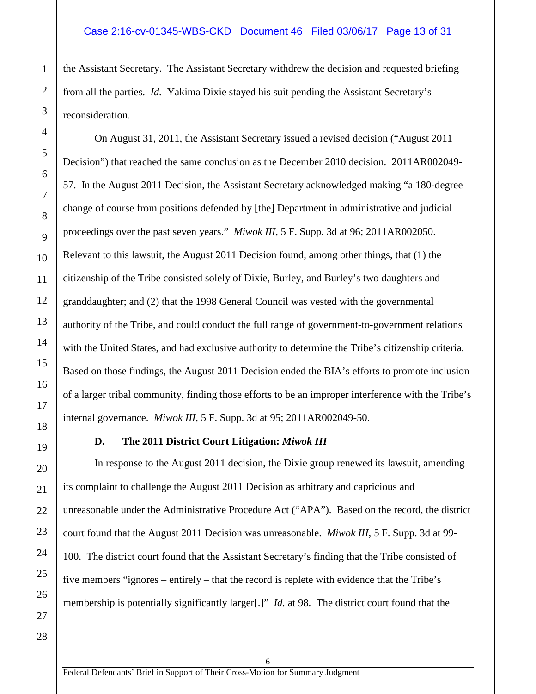#### Case 2:16-cv-01345-WBS-CKD Document 46 Filed 03/06/17 Page 13 of 31

the Assistant Secretary. The Assistant Secretary withdrew the decision and requested briefing from all the parties. *Id.* Yakima Dixie stayed his suit pending the Assistant Secretary's reconsideration.

On August 31, 2011, the Assistant Secretary issued a revised decision ("August 2011 Decision") that reached the same conclusion as the December 2010 decision. 2011AR002049- 57. In the August 2011 Decision, the Assistant Secretary acknowledged making "a 180-degree change of course from positions defended by [the] Department in administrative and judicial proceedings over the past seven years." *Miwok III*, 5 F. Supp. 3d at 96; 2011AR002050. Relevant to this lawsuit, the August 2011 Decision found, among other things, that (1) the citizenship of the Tribe consisted solely of Dixie, Burley, and Burley's two daughters and granddaughter; and (2) that the 1998 General Council was vested with the governmental authority of the Tribe, and could conduct the full range of government-to-government relations with the United States, and had exclusive authority to determine the Tribe's citizenship criteria. Based on those findings, the August 2011 Decision ended the BIA's efforts to promote inclusion of a larger tribal community, finding those efforts to be an improper interference with the Tribe's internal governance. *Miwok III*, 5 F. Supp. 3d at 95; 2011AR002049-50.

#### **D. The 2011 District Court Litigation:** *Miwok III*

<span id="page-12-0"></span>In response to the August 2011 decision, the Dixie group renewed its lawsuit, amending its complaint to challenge the August 2011 Decision as arbitrary and capricious and unreasonable under the Administrative Procedure Act ("APA"). Based on the record, the district court found that the August 2011 Decision was unreasonable. *Miwok III*, 5 F. Supp. 3d at 99- 100. The district court found that the Assistant Secretary's finding that the Tribe consisted of five members "ignores – entirely – that the record is replete with evidence that the Tribe's membership is potentially significantly larger[.]" *Id.* at 98. The district court found that the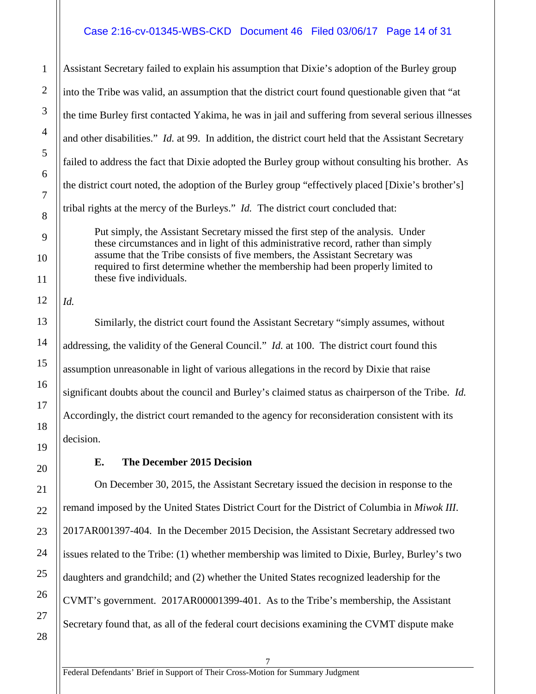#### Case 2:16-cv-01345-WBS-CKD Document 46 Filed 03/06/17 Page 14 of 31

Assistant Secretary failed to explain his assumption that Dixie's adoption of the Burley group into the Tribe was valid, an assumption that the district court found questionable given that "at the time Burley first contacted Yakima, he was in jail and suffering from several serious illnesses and other disabilities." *Id.* at 99. In addition, the district court held that the Assistant Secretary failed to address the fact that Dixie adopted the Burley group without consulting his brother. As the district court noted, the adoption of the Burley group "effectively placed [Dixie's brother's] tribal rights at the mercy of the Burleys." *Id.* The district court concluded that:

Put simply, the Assistant Secretary missed the first step of the analysis. Under these circumstances and in light of this administrative record, rather than simply assume that the Tribe consists of five members, the Assistant Secretary was required to first determine whether the membership had been properly limited to these five individuals.

*Id.*

Similarly, the district court found the Assistant Secretary "simply assumes, without addressing, the validity of the General Council." *Id.* at 100. The district court found this assumption unreasonable in light of various allegations in the record by Dixie that raise significant doubts about the council and Burley's claimed status as chairperson of the Tribe. *Id.* Accordingly, the district court remanded to the agency for reconsideration consistent with its decision.

#### **E. The December 2015 Decision**

<span id="page-13-0"></span>On December 30, 2015, the Assistant Secretary issued the decision in response to the remand imposed by the United States District Court for the District of Columbia in *Miwok III*. 2017AR001397-404. In the December 2015 Decision, the Assistant Secretary addressed two issues related to the Tribe: (1) whether membership was limited to Dixie, Burley, Burley's two daughters and grandchild; and (2) whether the United States recognized leadership for the CVMT's government. 2017AR00001399-401. As to the Tribe's membership, the Assistant Secretary found that, as all of the federal court decisions examining the CVMT dispute make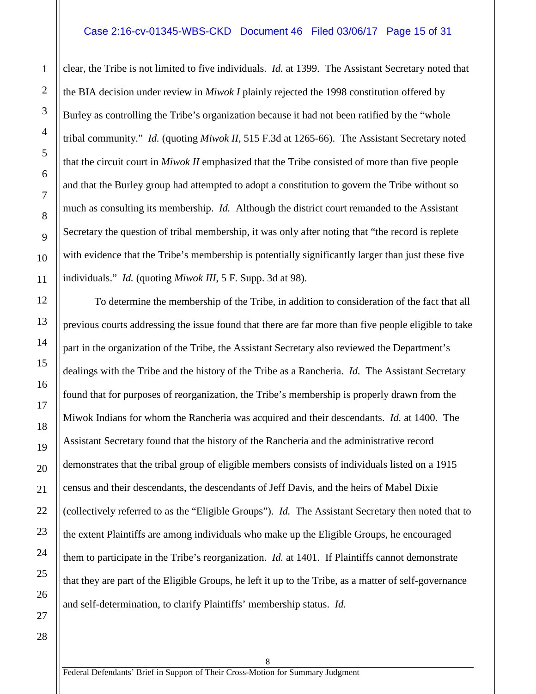#### Case 2:16-cv-01345-WBS-CKD Document 46 Filed 03/06/17 Page 15 of 31

clear, the Tribe is not limited to five individuals. *Id.* at 1399. The Assistant Secretary noted that the BIA decision under review in *Miwok I* plainly rejected the 1998 constitution offered by Burley as controlling the Tribe's organization because it had not been ratified by the "whole tribal community." *Id.* (quoting *Miwok II*, 515 F.3d at 1265-66). The Assistant Secretary noted that the circuit court in *Miwok II* emphasized that the Tribe consisted of more than five people and that the Burley group had attempted to adopt a constitution to govern the Tribe without so much as consulting its membership. *Id.* Although the district court remanded to the Assistant Secretary the question of tribal membership, it was only after noting that "the record is replete with evidence that the Tribe's membership is potentially significantly larger than just these five individuals." *Id.* (quoting *Miwok III*, 5 F. Supp. 3d at 98).

To determine the membership of the Tribe, in addition to consideration of the fact that all previous courts addressing the issue found that there are far more than five people eligible to take part in the organization of the Tribe, the Assistant Secretary also reviewed the Department's dealings with the Tribe and the history of the Tribe as a Rancheria. *Id.* The Assistant Secretary found that for purposes of reorganization, the Tribe's membership is properly drawn from the Miwok Indians for whom the Rancheria was acquired and their descendants. *Id.* at 1400. The Assistant Secretary found that the history of the Rancheria and the administrative record demonstrates that the tribal group of eligible members consists of individuals listed on a 1915 census and their descendants, the descendants of Jeff Davis, and the heirs of Mabel Dixie (collectively referred to as the "Eligible Groups"). *Id.* The Assistant Secretary then noted that to the extent Plaintiffs are among individuals who make up the Eligible Groups, he encouraged them to participate in the Tribe's reorganization. *Id.* at 1401. If Plaintiffs cannot demonstrate that they are part of the Eligible Groups, he left it up to the Tribe, as a matter of self-governance and self-determination, to clarify Plaintiffs' membership status. *Id.*

1

2

3

4

5

6

7

8

9

10

11

12

13

14

15

16

17

18

19

20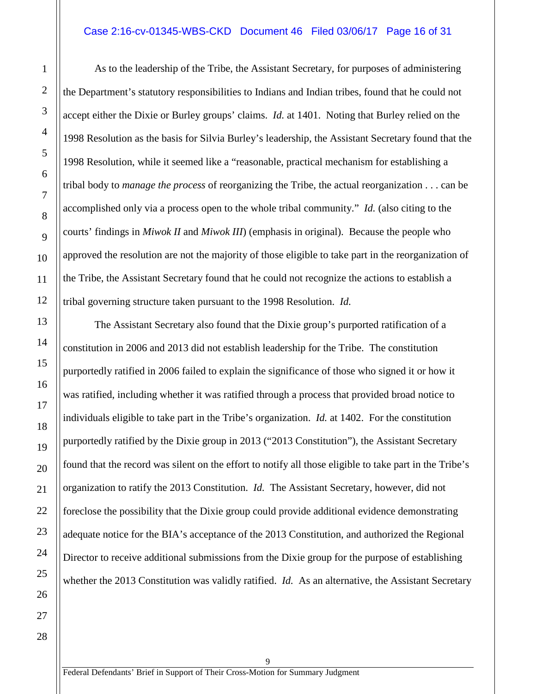#### Case 2:16-cv-01345-WBS-CKD Document 46 Filed 03/06/17 Page 16 of 31

As to the leadership of the Tribe, the Assistant Secretary, for purposes of administering the Department's statutory responsibilities to Indians and Indian tribes, found that he could not accept either the Dixie or Burley groups' claims. *Id.* at 1401. Noting that Burley relied on the 1998 Resolution as the basis for Silvia Burley's leadership, the Assistant Secretary found that the 1998 Resolution, while it seemed like a "reasonable, practical mechanism for establishing a tribal body to *manage the process* of reorganizing the Tribe, the actual reorganization . . . can be accomplished only via a process open to the whole tribal community." *Id.* (also citing to the courts' findings in *Miwok II* and *Miwok III*) (emphasis in original). Because the people who approved the resolution are not the majority of those eligible to take part in the reorganization of the Tribe, the Assistant Secretary found that he could not recognize the actions to establish a tribal governing structure taken pursuant to the 1998 Resolution. *Id.*

The Assistant Secretary also found that the Dixie group's purported ratification of a constitution in 2006 and 2013 did not establish leadership for the Tribe. The constitution purportedly ratified in 2006 failed to explain the significance of those who signed it or how it was ratified, including whether it was ratified through a process that provided broad notice to individuals eligible to take part in the Tribe's organization. *Id.* at 1402. For the constitution purportedly ratified by the Dixie group in 2013 ("2013 Constitution"), the Assistant Secretary found that the record was silent on the effort to notify all those eligible to take part in the Tribe's organization to ratify the 2013 Constitution. *Id.* The Assistant Secretary, however, did not foreclose the possibility that the Dixie group could provide additional evidence demonstrating adequate notice for the BIA's acceptance of the 2013 Constitution, and authorized the Regional Director to receive additional submissions from the Dixie group for the purpose of establishing whether the 2013 Constitution was validly ratified. *Id.* As an alternative, the Assistant Secretary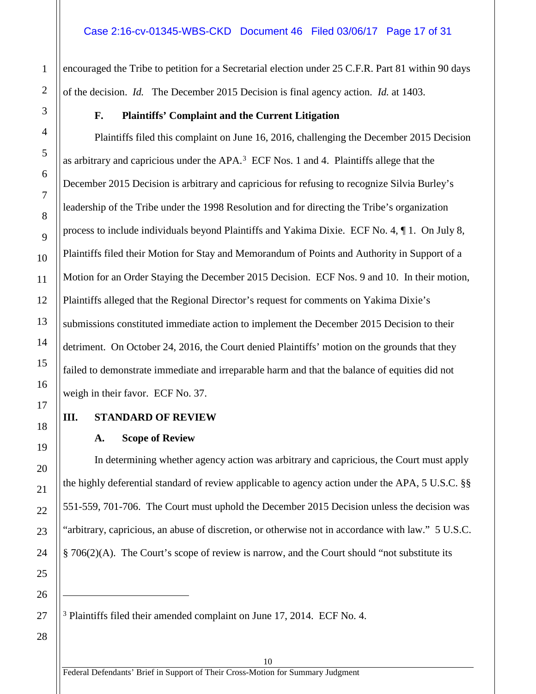encouraged the Tribe to petition for a Secretarial election under 25 C.F.R. Part 81 within 90 days of the decision. *Id.* The December 2015 Decision is final agency action. *Id.* at 1403.

#### **F. Plaintiffs' Complaint and the Current Litigation**

<span id="page-16-0"></span>Plaintiffs filed this complaint on June 16, 2016, challenging the December 2015 Decision as arbitrary and capricious under the  $APA$ .<sup>[3](#page-16-3)</sup> ECF Nos. 1 and 4. Plaintiffs allege that the December 2015 Decision is arbitrary and capricious for refusing to recognize Silvia Burley's leadership of the Tribe under the 1998 Resolution and for directing the Tribe's organization process to include individuals beyond Plaintiffs and Yakima Dixie. ECF No. 4, ¶ 1. On July 8, Plaintiffs filed their Motion for Stay and Memorandum of Points and Authority in Support of a Motion for an Order Staying the December 2015 Decision. ECF Nos. 9 and 10. In their motion, Plaintiffs alleged that the Regional Director's request for comments on Yakima Dixie's submissions constituted immediate action to implement the December 2015 Decision to their detriment. On October 24, 2016, the Court denied Plaintiffs' motion on the grounds that they failed to demonstrate immediate and irreparable harm and that the balance of equities did not weigh in their favor. ECF No. 37.

#### <span id="page-16-2"></span><span id="page-16-1"></span>**III. STANDARD OF REVIEW**

#### **A. Scope of Review**

In determining whether agency action was arbitrary and capricious, the Court must apply the highly deferential standard of review applicable to agency action under the APA, 5 U.S.C. §§ 551-559, 701-706. The Court must uphold the December 2015 Decision unless the decision was "arbitrary, capricious, an abuse of discretion, or otherwise not in accordance with law." 5 U.S.C. § 706(2)(A). The Court's scope of review is narrow, and the Court should "not substitute its

<span id="page-16-3"></span><sup>3</sup> Plaintiffs filed their amended complaint on June 17, 2014. ECF No. 4.

10

 $\overline{a}$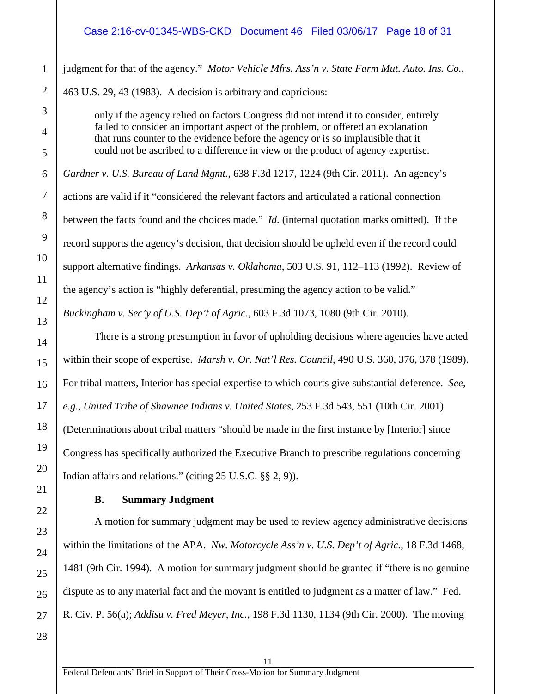#### Case 2:16-cv-01345-WBS-CKD Document 46 Filed 03/06/17 Page 18 of 31

judgment for that of the agency." *Motor Vehicle Mfrs. Ass'n v. State Farm Mut. Auto. Ins. Co.*, 463 U.S. 29, 43 (1983). A decision is arbitrary and capricious:

only if the agency relied on factors Congress did not intend it to consider, entirely failed to consider an important aspect of the problem, or offered an explanation that runs counter to the evidence before the agency or is so implausible that it could not be ascribed to a difference in view or the product of agency expertise.

*Gardner v. U.S. Bureau of Land Mgmt.*, 638 F.3d 1217, 1224 (9th Cir. 2011). An agency's actions are valid if it "considered the relevant factors and articulated a rational connection between the facts found and the choices made." *Id.* (internal quotation marks omitted). If the record supports the agency's decision, that decision should be upheld even if the record could support alternative findings. *Arkansas v. Oklahoma*, 503 U.S. 91, 112–113 (1992). Review of the agency's action is "highly deferential, presuming the agency action to be valid." *Buckingham v. Sec'y of U.S. Dep't of Agric.*, 603 F.3d 1073, 1080 (9th Cir. 2010).

There is a strong presumption in favor of upholding decisions where agencies have acted within their scope of expertise. *Marsh v. Or. Nat'l Res. Council*, 490 U.S. 360, 376, 378 (1989). For tribal matters, Interior has special expertise to which courts give substantial deference. *See*, *e.g.*, *United Tribe of Shawnee Indians v. United States*, 253 F.3d 543, 551 (10th Cir. 2001) (Determinations about tribal matters "should be made in the first instance by [Interior] since Congress has specifically authorized the Executive Branch to prescribe regulations concerning Indian affairs and relations." (citing 25 U.S.C. §§ 2, 9)).

#### **B. Summary Judgment**

<span id="page-17-0"></span>A motion for summary judgment may be used to review agency administrative decisions within the limitations of the APA. *Nw. Motorcycle Ass'n v. U.S. Dep't of Agric.*, 18 F.3d 1468, 1481 (9th Cir. 1994). A motion for summary judgment should be granted if "there is no genuine dispute as to any material fact and the movant is entitled to judgment as a matter of law." Fed. R. Civ. P. 56(a); *Addisu v. Fred Meyer, Inc.*, 198 F.3d 1130, 1134 (9th Cir. 2000). The moving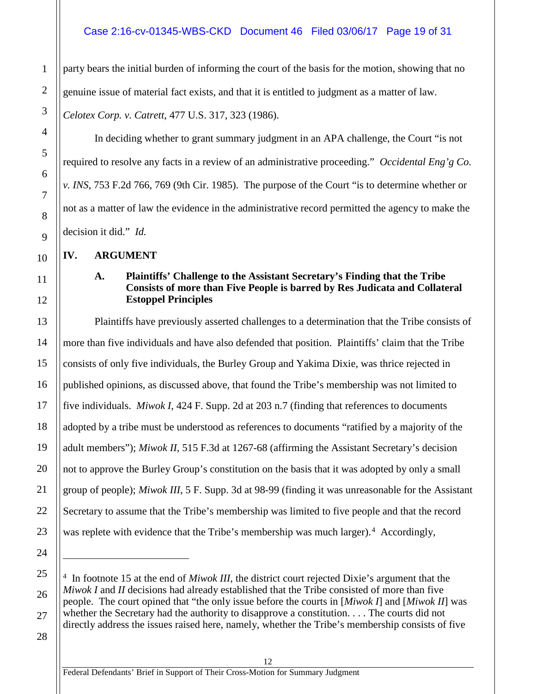#### Case 2:16-cv-01345-WBS-CKD Document 46 Filed 03/06/17 Page 19 of 31

party bears the initial burden of informing the court of the basis for the motion, showing that no genuine issue of material fact exists, and that it is entitled to judgment as a matter of law.

*Celotex Corp. v. Catrett*, 477 U.S. 317, 323 (1986).

In deciding whether to grant summary judgment in an APA challenge, the Court "is not required to resolve any facts in a review of an administrative proceeding." *Occidental Eng'g Co. v. INS*, 753 F.2d 766, 769 (9th Cir. 1985). The purpose of the Court "is to determine whether or not as a matter of law the evidence in the administrative record permitted the agency to make the decision it did." *Id.*

<span id="page-18-1"></span><span id="page-18-0"></span>**IV. ARGUMENT**

1

2

3

4

5

6

7

8

9

10

11

12

13

14

15

16

17

18

19

20

21

22

23

24

 $\overline{a}$ 

<span id="page-18-2"></span>25

26

27

#### **A. Plaintiffs' Challenge to the Assistant Secretary's Finding that the Tribe Consists of more than Five People is barred by Res Judicata and Collateral Estoppel Principles**

Plaintiffs have previously asserted challenges to a determination that the Tribe consists of more than five individuals and have also defended that position. Plaintiffs' claim that the Tribe consists of only five individuals, the Burley Group and Yakima Dixie, was thrice rejected in published opinions, as discussed above, that found the Tribe's membership was not limited to five individuals. *Miwok I*, 424 F. Supp. 2d at 203 n.7 (finding that references to documents adopted by a tribe must be understood as references to documents "ratified by a majority of the adult members"); *Miwok II*, 515 F.3d at 1267-68 (affirming the Assistant Secretary's decision not to approve the Burley Group's constitution on the basis that it was adopted by only a small group of people); *Miwok III*, 5 F. Supp. 3d at 98-99 (finding it was unreasonable for the Assistant Secretary to assume that the Tribe's membership was limited to five people and that the record was replete with evidence that the Tribe's membership was much larger).<sup>4</sup> Accordingly,

12

<sup>4</sup> In footnote 15 at the end of *Miwok III*, the district court rejected Dixie's argument that the *Miwok I* and *II* decisions had already established that the Tribe consisted of more than five people. The court opined that "the only issue before the courts in [*Miwok I*] and [*Miwok II*] was whether the Secretary had the authority to disapprove a constitution. . . . The courts did not directly address the issues raised here, namely, whether the Tribe's membership consists of five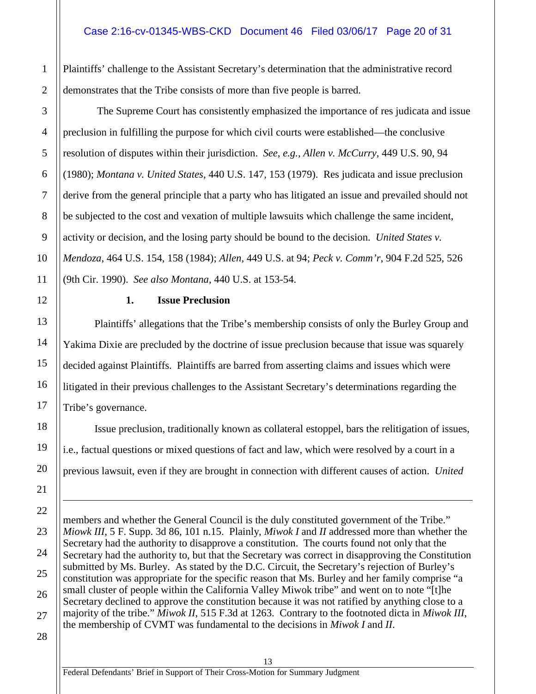Plaintiffs' challenge to the Assistant Secretary's determination that the administrative record demonstrates that the Tribe consists of more than five people is barred.

The Supreme Court has consistently emphasized the importance of res judicata and issue preclusion in fulfilling the purpose for which civil courts were established—the conclusive resolution of disputes within their jurisdiction. *See*, *e.g.*, *Allen v. McCurry*, 449 U.S. 90, 94 (1980); *Montana v. United States*, 440 U.S. 147, 153 (1979). Res judicata and issue preclusion derive from the general principle that a party who has litigated an issue and prevailed should not be subjected to the cost and vexation of multiple lawsuits which challenge the same incident, activity or decision, and the losing party should be bound to the decision. *United States v. Mendoza*, 464 U.S. 154, 158 (1984); *Allen*, 449 U.S. at 94; *Peck v. Comm'r*, 904 F.2d 525, 526 (9th Cir. 1990). *See also Montana*, 440 U.S. at 153-54.

**1. Issue Preclusion**

<span id="page-19-0"></span>Plaintiffs' allegations that the Tribe's membership consists of only the Burley Group and Yakima Dixie are precluded by the doctrine of issue preclusion because that issue was squarely decided against Plaintiffs. Plaintiffs are barred from asserting claims and issues which were litigated in their previous challenges to the Assistant Secretary's determinations regarding the Tribe's governance.

Issue preclusion, traditionally known as collateral estoppel, bars the relitigation of issues, i.e., factual questions or mixed questions of fact and law, which were resolved by a court in a previous lawsuit, even if they are brought in connection with different causes of action. *United* 

members and whether the General Council is the duly constituted government of the Tribe." *Miowk III*, 5 F. Supp. 3d 86, 101 n.15. Plainly, *Miwok I* and *II* addressed more than whether the Secretary had the authority to disapprove a constitution. The courts found not only that the Secretary had the authority to, but that the Secretary was correct in disapproving the Constitution submitted by Ms. Burley. As stated by the D.C. Circuit, the Secretary's rejection of Burley's constitution was appropriate for the specific reason that Ms. Burley and her family comprise "a small cluster of people within the California Valley Miwok tribe" and went on to note "[t]he Secretary declined to approve the constitution because it was not ratified by anything close to a majority of the tribe." *Miwok II*, 515 F.3d at 1263. Contrary to the footnoted dicta in *Miwok III*, the membership of CVMT was fundamental to the decisions in *Miwok I* and *II*.

 $\overline{a}$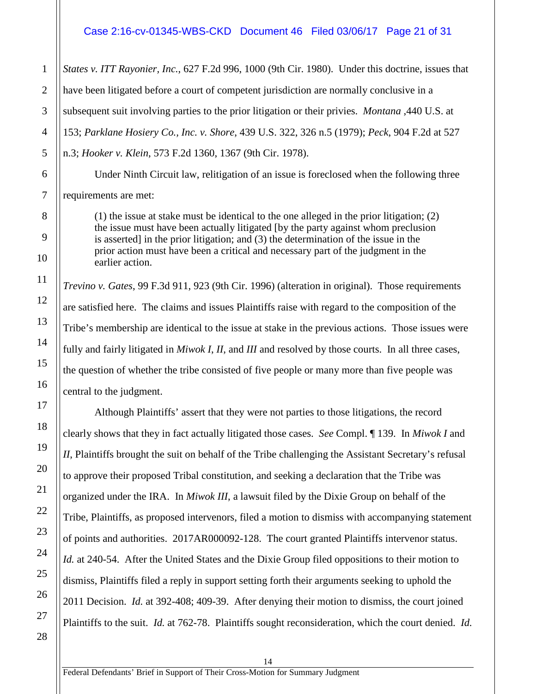#### Case 2:16-cv-01345-WBS-CKD Document 46 Filed 03/06/17 Page 21 of 31

*States v. ITT Rayonier, Inc.*, 627 F.2d 996, 1000 (9th Cir. 1980). Under this doctrine, issues that have been litigated before a court of competent jurisdiction are normally conclusive in a subsequent suit involving parties to the prior litigation or their privies. *Montana* ,440 U.S. at 153; *Parklane Hosiery Co., Inc. v. Shore*, 439 U.S. 322, 326 n.5 (1979); *Peck*, 904 F.2d at 527 n.3; *Hooker v. Klein*, 573 F.2d 1360, 1367 (9th Cir. 1978).

Under Ninth Circuit law, relitigation of an issue is foreclosed when the following three requirements are met:

(1) the issue at stake must be identical to the one alleged in the prior litigation; (2) the issue must have been actually litigated [by the party against whom preclusion is asserted] in the prior litigation; and (3) the determination of the issue in the prior action must have been a critical and necessary part of the judgment in the earlier action.

*Trevino v. Gates*, 99 F.3d 911, 923 (9th Cir. 1996) (alteration in original). Those requirements are satisfied here. The claims and issues Plaintiffs raise with regard to the composition of the Tribe's membership are identical to the issue at stake in the previous actions. Those issues were fully and fairly litigated in *Miwok I*, *II*, and *III* and resolved by those courts. In all three cases, the question of whether the tribe consisted of five people or many more than five people was central to the judgment.

Although Plaintiffs' assert that they were not parties to those litigations, the record clearly shows that they in fact actually litigated those cases. *See* Compl. ¶ 139. In *Miwok I* and *II*, Plaintiffs brought the suit on behalf of the Tribe challenging the Assistant Secretary's refusal to approve their proposed Tribal constitution, and seeking a declaration that the Tribe was organized under the IRA. In *Miwok III*, a lawsuit filed by the Dixie Group on behalf of the Tribe, Plaintiffs, as proposed intervenors, filed a motion to dismiss with accompanying statement of points and authorities. 2017AR000092-128. The court granted Plaintiffs intervenor status. *Id.* at 240-54. After the United States and the Dixie Group filed oppositions to their motion to dismiss, Plaintiffs filed a reply in support setting forth their arguments seeking to uphold the 2011 Decision. *Id.* at 392-408; 409-39. After denying their motion to dismiss, the court joined Plaintiffs to the suit. *Id.* at 762-78. Plaintiffs sought reconsideration, which the court denied. *Id.*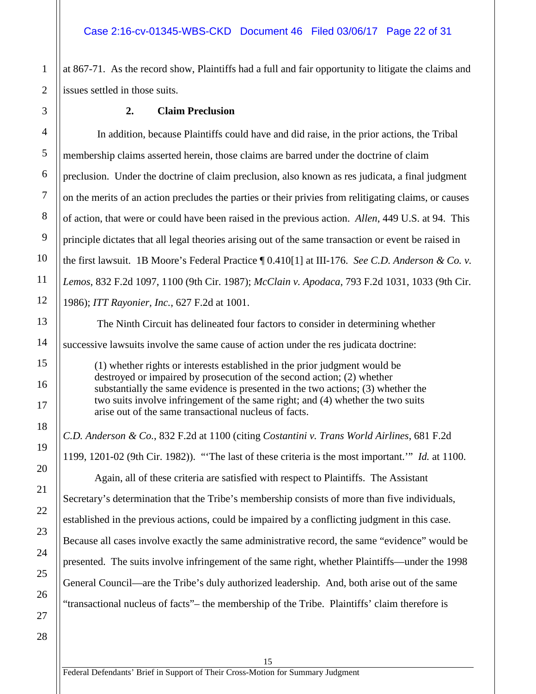at 867-71. As the record show, Plaintiffs had a full and fair opportunity to litigate the claims and issues settled in those suits.

#### **2. Claim Preclusion**

In addition, because Plaintiffs could have and did raise, in the prior actions, the Tribal membership claims asserted herein, those claims are barred under the doctrine of claim preclusion. Under the doctrine of claim preclusion, also known as res judicata, a final judgment on the merits of an action precludes the parties or their privies from relitigating claims, or causes of action, that were or could have been raised in the previous action. *Allen*, 449 U.S. at 94. This principle dictates that all legal theories arising out of the same transaction or event be raised in the first lawsuit. 1B Moore's Federal Practice ¶ 0.410[1] at III-176. *See C.D. Anderson & Co. v. Lemos*, 832 F.2d 1097, 1100 (9th Cir. 1987); *McClain v. Apodaca*, 793 F.2d 1031, 1033 (9th Cir. 1986); *ITT Rayonier, Inc.*, 627 F.2d at 1001.

The Ninth Circuit has delineated four factors to consider in determining whether successive lawsuits involve the same cause of action under the res judicata doctrine:

(1) whether rights or interests established in the prior judgment would be destroyed or impaired by prosecution of the second action; (2) whether substantially the same evidence is presented in the two actions; (3) whether the two suits involve infringement of the same right; and (4) whether the two suits arise out of the same transactional nucleus of facts.

*C.D. Anderson & Co.*, 832 F.2d at 1100 (citing *Costantini v. Trans World Airlines*, 681 F.2d 1199, 1201-02 (9th Cir. 1982)). "'The last of these criteria is the most important.'" *Id.* at 1100. Again, all of these criteria are satisfied with respect to Plaintiffs. The Assistant Secretary's determination that the Tribe's membership consists of more than five individuals, established in the previous actions, could be impaired by a conflicting judgment in this case. Because all cases involve exactly the same administrative record, the same "evidence" would be presented. The suits involve infringement of the same right, whether Plaintiffs—under the 1998 General Council—are the Tribe's duly authorized leadership. And, both arise out of the same "transactional nucleus of facts"– the membership of the Tribe. Plaintiffs' claim therefore is

15

1

2

<span id="page-21-0"></span>3

4

5

6

7

8

9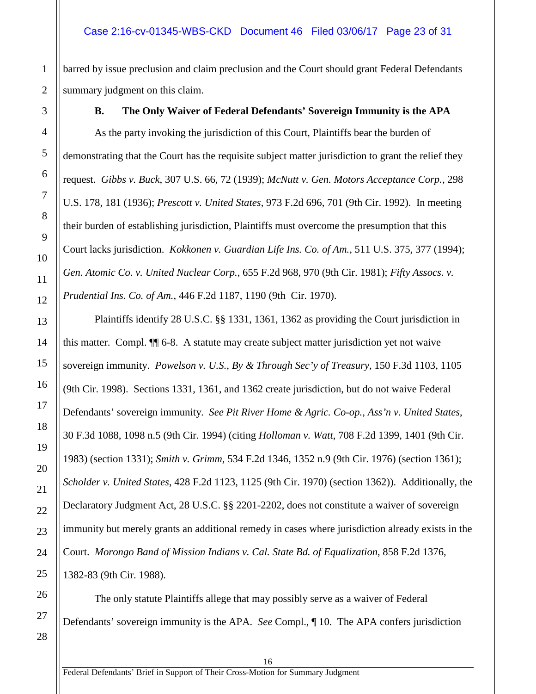barred by issue preclusion and claim preclusion and the Court should grant Federal Defendants summary judgment on this claim.

**B. The Only Waiver of Federal Defendants' Sovereign Immunity is the APA**

<span id="page-22-0"></span>As the party invoking the jurisdiction of this Court, Plaintiffs bear the burden of demonstrating that the Court has the requisite subject matter jurisdiction to grant the relief they request. *Gibbs v. Buck*, 307 U.S. 66, 72 (1939); *McNutt v. Gen. Motors Acceptance Corp.*, 298 U.S. 178, 181 (1936); *Prescott v. United States*, 973 F.2d 696, 701 (9th Cir. 1992). In meeting their burden of establishing jurisdiction, Plaintiffs must overcome the presumption that this Court lacks jurisdiction. *Kokkonen v. Guardian Life Ins. Co. of Am.*, 511 U.S. 375, 377 (1994); *Gen. Atomic Co. v. United Nuclear Corp.*, 655 F.2d 968, 970 (9th Cir. 1981); *Fifty Assocs. v. Prudential Ins. Co. of Am.*, 446 F.2d 1187, 1190 (9th Cir. 1970).

Plaintiffs identify 28 U.S.C. §§ 1331, 1361, 1362 as providing the Court jurisdiction in this matter. Compl. ¶¶ 6-8. A statute may create subject matter jurisdiction yet not waive sovereign immunity. *Powelson v. U.S., By & Through Sec'y of Treasury*, 150 F.3d 1103, 1105 (9th Cir. 1998). Sections 1331, 1361, and 1362 create jurisdiction, but do not waive Federal Defendants' sovereign immunity. *See Pit River Home & Agric. Co-op., Ass'n v. United States*, 30 F.3d 1088, 1098 n.5 (9th Cir. 1994) (citing *Holloman v. Watt*, 708 F.2d 1399, 1401 (9th Cir. 1983) (section 1331); *Smith v. Grimm*, 534 F.2d 1346, 1352 n.9 (9th Cir. 1976) (section 1361); *Scholder v. United States*, 428 F.2d 1123, 1125 (9th Cir. 1970) (section 1362)). Additionally, the Declaratory Judgment Act, 28 U.S.C. §§ 2201-2202, does not constitute a waiver of sovereign immunity but merely grants an additional remedy in cases where jurisdiction already exists in the Court. *Morongo Band of Mission Indians v. Cal. State Bd. of Equalization*, 858 F.2d 1376, 1382-83 (9th Cir. 1988).

The only statute Plaintiffs allege that may possibly serve as a waiver of Federal Defendants' sovereign immunity is the APA. *See* Compl., ¶ 10. The APA confers jurisdiction

1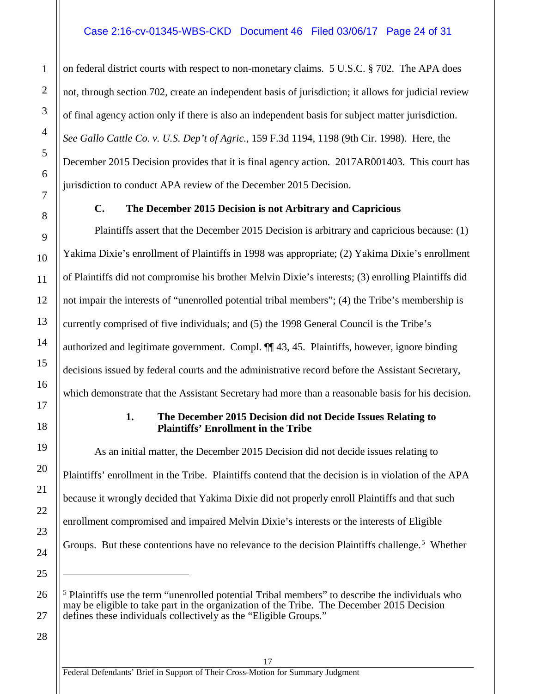#### Case 2:16-cv-01345-WBS-CKD Document 46 Filed 03/06/17 Page 24 of 31

on federal district courts with respect to non-monetary claims. 5 U.S.C. § 702. The APA does not, through section 702, create an independent basis of jurisdiction; it allows for judicial review of final agency action only if there is also an independent basis for subject matter jurisdiction. *See Gallo Cattle Co. v. U.S. Dep't of Agric.*, 159 F.3d 1194, 1198 (9th Cir. 1998). Here, the December 2015 Decision provides that it is final agency action. 2017AR001403. This court has jurisdiction to conduct APA review of the December 2015 Decision.

#### <span id="page-23-0"></span>**C. The December 2015 Decision is not Arbitrary and Capricious**

Plaintiffs assert that the December 2015 Decision is arbitrary and capricious because: (1) Yakima Dixie's enrollment of Plaintiffs in 1998 was appropriate; (2) Yakima Dixie's enrollment of Plaintiffs did not compromise his brother Melvin Dixie's interests; (3) enrolling Plaintiffs did not impair the interests of "unenrolled potential tribal members"; (4) the Tribe's membership is currently comprised of five individuals; and (5) the 1998 General Council is the Tribe's authorized and legitimate government. Compl. ¶¶ 43, 45. Plaintiffs, however, ignore binding decisions issued by federal courts and the administrative record before the Assistant Secretary, which demonstrate that the Assistant Secretary had more than a reasonable basis for his decision.

#### **1. The December 2015 Decision did not Decide Issues Relating to Plaintiffs' Enrollment in the Tribe**

As an initial matter, the December 2015 Decision did not decide issues relating to Plaintiffs' enrollment in the Tribe. Plaintiffs contend that the decision is in violation of the APA because it wrongly decided that Yakima Dixie did not properly enroll Plaintiffs and that such enrollment compromised and impaired Melvin Dixie's interests or the interests of Eligible Groups. But these contentions have no relevance to the decision Plaintiffs challenge.<sup>5</sup> Whether

17

1

2

3

4

5

6

7

8

9

10

11

12

13

14

15

16

<span id="page-23-1"></span>17

18

19

20

21

22

23

24

25

 $\overline{a}$ 

<span id="page-23-2"></span>26

<sup>&</sup>lt;sup>5</sup> Plaintiffs use the term "unenrolled potential Tribal members" to describe the individuals who may be eligible to take part in the organization of the Tribe. The December 2015 Decision defines these individuals collectively as the "Eligible Groups."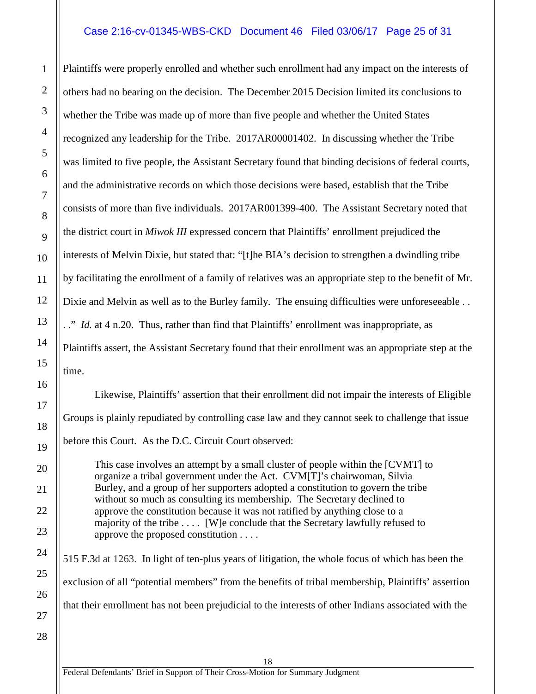#### Case 2:16-cv-01345-WBS-CKD Document 46 Filed 03/06/17 Page 25 of 31

Plaintiffs were properly enrolled and whether such enrollment had any impact on the interests of others had no bearing on the decision. The December 2015 Decision limited its conclusions to whether the Tribe was made up of more than five people and whether the United States recognized any leadership for the Tribe. 2017AR00001402. In discussing whether the Tribe was limited to five people, the Assistant Secretary found that binding decisions of federal courts, and the administrative records on which those decisions were based, establish that the Tribe consists of more than five individuals. 2017AR001399-400. The Assistant Secretary noted that the district court in *Miwok III* expressed concern that Plaintiffs' enrollment prejudiced the interests of Melvin Dixie, but stated that: "[t]he BIA's decision to strengthen a dwindling tribe by facilitating the enrollment of a family of relatives was an appropriate step to the benefit of Mr. Dixie and Melvin as well as to the Burley family. The ensuing difficulties were unforeseeable . . . ." *Id.* at 4 n.20. Thus, rather than find that Plaintiffs' enrollment was inappropriate, as Plaintiffs assert, the Assistant Secretary found that their enrollment was an appropriate step at the time.

Likewise, Plaintiffs' assertion that their enrollment did not impair the interests of Eligible Groups is plainly repudiated by controlling case law and they cannot seek to challenge that issue before this Court. As the D.C. Circuit Court observed:

This case involves an attempt by a small cluster of people within the [CVMT] to organize a tribal government under the Act. CVM[T]'s chairwoman, Silvia Burley, and a group of her supporters adopted a constitution to govern the tribe without so much as consulting its membership. The Secretary declined to approve the constitution because it was not ratified by anything close to a majority of the tribe . . . . [W]e conclude that the Secretary lawfully refused to approve the proposed constitution . . . .

515 F.3d at 1263. In light of ten-plus years of litigation, the whole focus of which has been the exclusion of all "potential members" from the benefits of tribal membership, Plaintiffs' assertion that their enrollment has not been prejudicial to the interests of other Indians associated with the

18

1

2

3

4

5

6

7

8

9

10

11

12

13

14

15

16

Federal Defendants' Brief in Support of Their Cross-Motion for Summary Judgment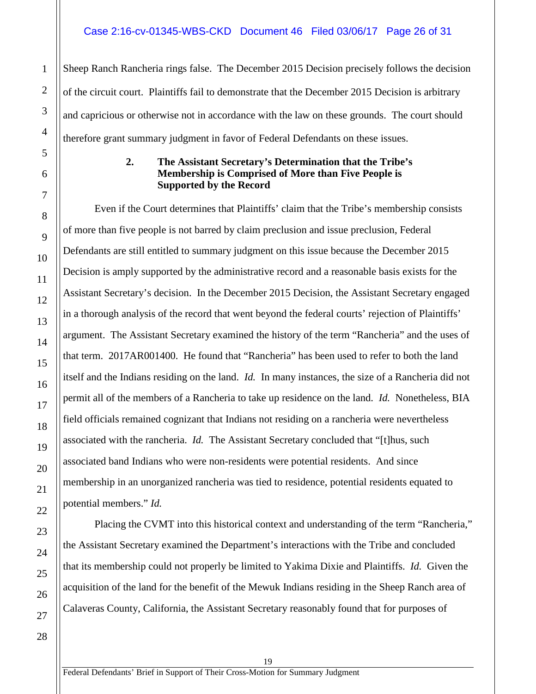Sheep Ranch Rancheria rings false. The December 2015 Decision precisely follows the decision of the circuit court. Plaintiffs fail to demonstrate that the December 2015 Decision is arbitrary and capricious or otherwise not in accordance with the law on these grounds. The court should therefore grant summary judgment in favor of Federal Defendants on these issues.

#### **2. The Assistant Secretary's Determination that the Tribe's Membership is Comprised of More than Five People is Supported by the Record**

<span id="page-25-0"></span>Even if the Court determines that Plaintiffs' claim that the Tribe's membership consists of more than five people is not barred by claim preclusion and issue preclusion, Federal Defendants are still entitled to summary judgment on this issue because the December 2015 Decision is amply supported by the administrative record and a reasonable basis exists for the Assistant Secretary's decision. In the December 2015 Decision, the Assistant Secretary engaged in a thorough analysis of the record that went beyond the federal courts' rejection of Plaintiffs' argument. The Assistant Secretary examined the history of the term "Rancheria" and the uses of that term. 2017AR001400. He found that "Rancheria" has been used to refer to both the land itself and the Indians residing on the land. *Id.* In many instances, the size of a Rancheria did not permit all of the members of a Rancheria to take up residence on the land. *Id.* Nonetheless, BIA field officials remained cognizant that Indians not residing on a rancheria were nevertheless associated with the rancheria. *Id.* The Assistant Secretary concluded that "[t]hus, such associated band Indians who were non-residents were potential residents. And since membership in an unorganized rancheria was tied to residence, potential residents equated to potential members." *Id.*

Placing the CVMT into this historical context and understanding of the term "Rancheria," the Assistant Secretary examined the Department's interactions with the Tribe and concluded that its membership could not properly be limited to Yakima Dixie and Plaintiffs. *Id.* Given the acquisition of the land for the benefit of the Mewuk Indians residing in the Sheep Ranch area of Calaveras County, California, the Assistant Secretary reasonably found that for purposes of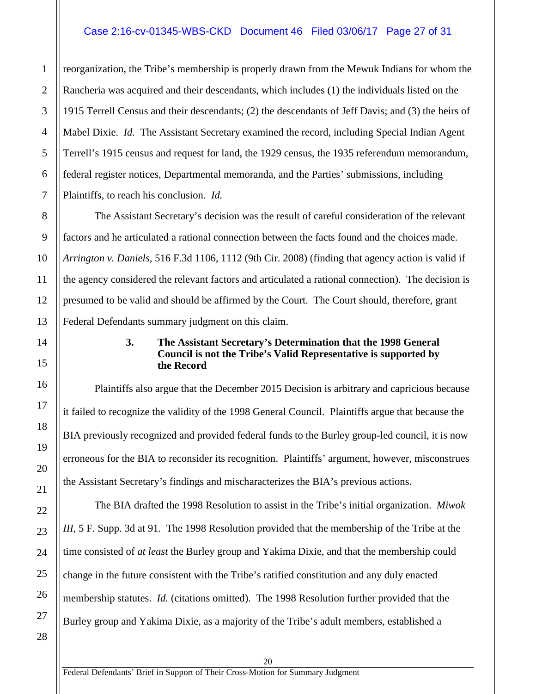#### Case 2:16-cv-01345-WBS-CKD Document 46 Filed 03/06/17 Page 27 of 31

reorganization, the Tribe's membership is properly drawn from the Mewuk Indians for whom the Rancheria was acquired and their descendants, which includes (1) the individuals listed on the 1915 Terrell Census and their descendants; (2) the descendants of Jeff Davis; and (3) the heirs of Mabel Dixie. *Id.* The Assistant Secretary examined the record, including Special Indian Agent Terrell's 1915 census and request for land, the 1929 census, the 1935 referendum memorandum, federal register notices, Departmental memoranda, and the Parties' submissions, including Plaintiffs, to reach his conclusion. *Id.*

The Assistant Secretary's decision was the result of careful consideration of the relevant factors and he articulated a rational connection between the facts found and the choices made. *Arrington v. Daniels*, 516 F.3d 1106, 1112 (9th Cir. 2008) (finding that agency action is valid if the agency considered the relevant factors and articulated a rational connection). The decision is presumed to be valid and should be affirmed by the Court. The Court should, therefore, grant Federal Defendants summary judgment on this claim.

#### **3. The Assistant Secretary's Determination that the 1998 General Council is not the Tribe's Valid Representative is supported by the Record**

Plaintiffs also argue that the December 2015 Decision is arbitrary and capricious because it failed to recognize the validity of the 1998 General Council. Plaintiffs argue that because the BIA previously recognized and provided federal funds to the Burley group-led council, it is now erroneous for the BIA to reconsider its recognition. Plaintiffs' argument, however, misconstrues the Assistant Secretary's findings and mischaracterizes the BIA's previous actions.

The BIA drafted the 1998 Resolution to assist in the Tribe's initial organization. *Miwok III*, 5 F. Supp. 3d at 91. The 1998 Resolution provided that the membership of the Tribe at the time consisted of *at least* the Burley group and Yakima Dixie, and that the membership could change in the future consistent with the Tribe's ratified constitution and any duly enacted membership statutes. *Id.* (citations omitted). The 1998 Resolution further provided that the Burley group and Yakima Dixie, as a majority of the Tribe's adult members, established a

1

2

3

4

5

6

7

8

9

10

11

12

13

<span id="page-26-0"></span>14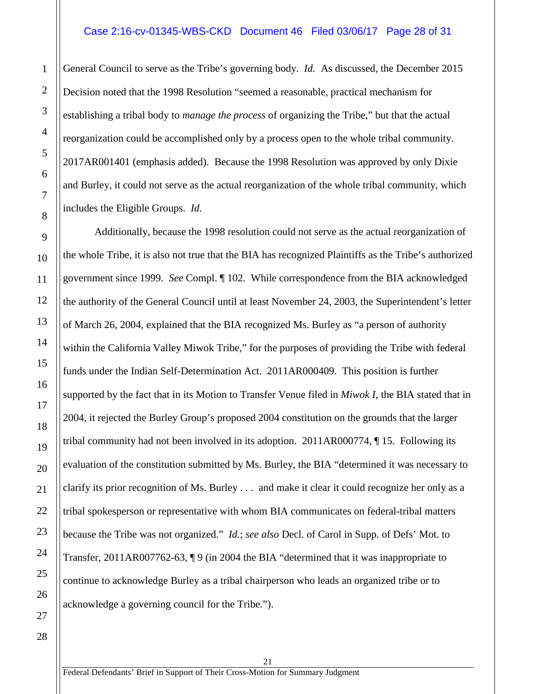#### Case 2:16-cv-01345-WBS-CKD Document 46 Filed 03/06/17 Page 28 of 31

General Council to serve as the Tribe's governing body. *Id.* As discussed, the December 2015 Decision noted that the 1998 Resolution "seemed a reasonable, practical mechanism for establishing a tribal body to *manage the process* of organizing the Tribe," but that the actual reorganization could be accomplished only by a process open to the whole tribal community. 2017AR001401 (emphasis added). Because the 1998 Resolution was approved by only Dixie and Burley, it could not serve as the actual reorganization of the whole tribal community, which includes the Eligible Groups. *Id.*

Additionally, because the 1998 resolution could not serve as the actual reorganization of the whole Tribe, it is also not true that the BIA has recognized Plaintiffs as the Tribe's authorized government since 1999. *See* Compl. ¶ 102. While correspondence from the BIA acknowledged the authority of the General Council until at least November 24, 2003, the Superintendent's letter of March 26, 2004, explained that the BIA recognized Ms. Burley as "a person of authority within the California Valley Miwok Tribe," for the purposes of providing the Tribe with federal funds under the Indian Self-Determination Act. 2011AR000409. This position is further supported by the fact that in its Motion to Transfer Venue filed in *Miwok I*, the BIA stated that in 2004, it rejected the Burley Group's proposed 2004 constitution on the grounds that the larger tribal community had not been involved in its adoption. 2011AR000774, ¶ 15. Following its evaluation of the constitution submitted by Ms. Burley, the BIA "determined it was necessary to clarify its prior recognition of Ms. Burley . . . and make it clear it could recognize her only as a tribal spokesperson or representative with whom BIA communicates on federal-tribal matters because the Tribe was not organized." *Id.*; *see also* Decl. of Carol in Supp. of Defs' Mot. to Transfer, 2011AR007762-63, ¶ 9 (in 2004 the BIA "determined that it was inappropriate to continue to acknowledge Burley as a tribal chairperson who leads an organized tribe or to acknowledge a governing council for the Tribe.").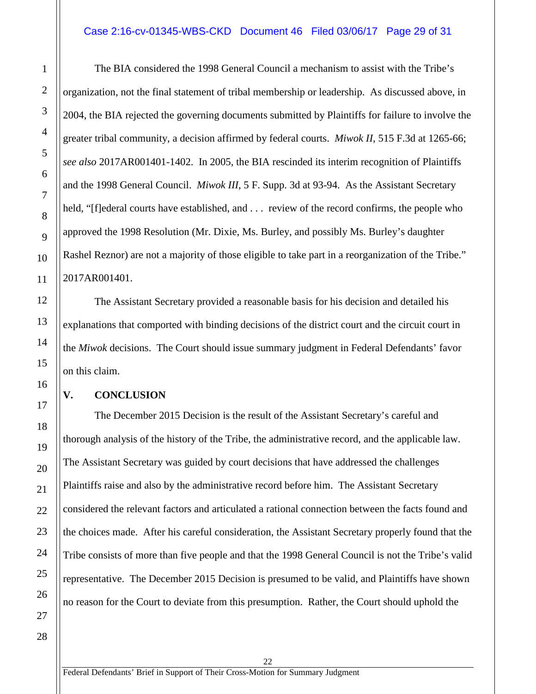#### Case 2:16-cv-01345-WBS-CKD Document 46 Filed 03/06/17 Page 29 of 31

The BIA considered the 1998 General Council a mechanism to assist with the Tribe's organization, not the final statement of tribal membership or leadership. As discussed above, in 2004, the BIA rejected the governing documents submitted by Plaintiffs for failure to involve the greater tribal community, a decision affirmed by federal courts. *Miwok II*, 515 F.3d at 1265-66; *see also* 2017AR001401-1402. In 2005, the BIA rescinded its interim recognition of Plaintiffs and the 1998 General Council. *Miwok III*, 5 F. Supp. 3d at 93-94. As the Assistant Secretary held, "[f]ederal courts have established, and ... review of the record confirms, the people who approved the 1998 Resolution (Mr. Dixie, Ms. Burley, and possibly Ms. Burley's daughter Rashel Reznor) are not a majority of those eligible to take part in a reorganization of the Tribe." 2017AR001401.

The Assistant Secretary provided a reasonable basis for his decision and detailed his explanations that comported with binding decisions of the district court and the circuit court in the *Miwok* decisions. The Court should issue summary judgment in Federal Defendants' favor on this claim.

#### <span id="page-28-0"></span>**V. CONCLUSION**

The December 2015 Decision is the result of the Assistant Secretary's careful and thorough analysis of the history of the Tribe, the administrative record, and the applicable law. The Assistant Secretary was guided by court decisions that have addressed the challenges Plaintiffs raise and also by the administrative record before him. The Assistant Secretary considered the relevant factors and articulated a rational connection between the facts found and the choices made. After his careful consideration, the Assistant Secretary properly found that the Tribe consists of more than five people and that the 1998 General Council is not the Tribe's valid representative. The December 2015 Decision is presumed to be valid, and Plaintiffs have shown no reason for the Court to deviate from this presumption. Rather, the Court should uphold the

22

1

2

3

4

5

6

7

8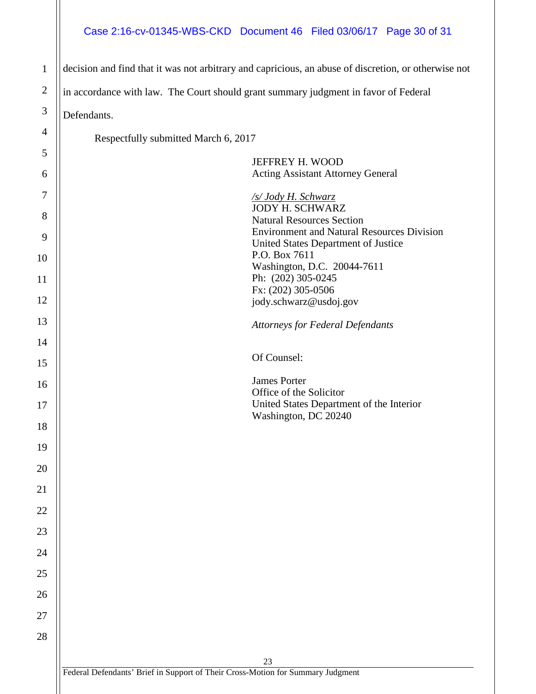#### Case 2:16-cv-01345-WBS-CKD Document 46 Filed 03/06/17 Page 30 of 31

1 2 3 4 5 6 7 8 9 10 11 12 13 14 15 16 17 18 19 20 21 22 23 24 25 26 27 28 decision and find that it was not arbitrary and capricious, an abuse of discretion, or otherwise not in accordance with law. The Court should grant summary judgment in favor of Federal Defendants. Respectfully submitted March 6, 2017 JEFFREY H. WOOD Acting Assistant Attorney General */s/ Jody H. Schwarz* JODY H. SCHWARZ Natural Resources Section Environment and Natural Resources Division United States Department of Justice P.O. Box 7611 Washington, D.C. 20044-7611 Ph: (202) 305-0245 Fx: (202) 305-0506 jody.schwarz@usdoj.gov *Attorneys for Federal Defendants* Of Counsel: James Porter Office of the Solicitor United States Department of the Interior Washington, DC 20240